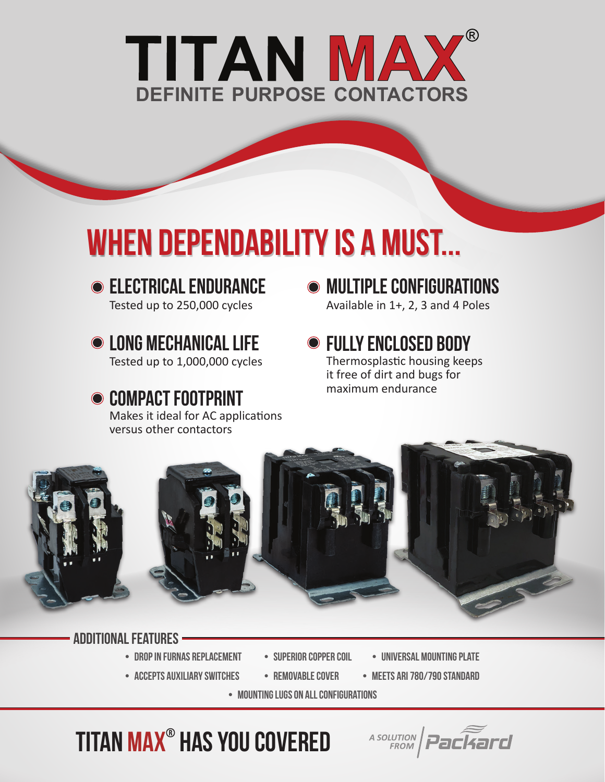

## WHEN DEPENDABILITY IS A MUST...

- **ELECTRICAL ENDURANCE** Tested up to 250,000 cycles
- **O LONG MECHANICAL LIFE**

Tested up to 1,000,000 cycles

## **● COMPACT FOOTPRINT** Makes it ideal for AC applications

versus other contactors

 $\bullet$  multiple configurations Available in 1+, 2, 3 and 4 Poles

**● FULLY ENCLOSED BODY** Thermosplastic housing keeps it free of dirt and bugs for maximum endurance



## additional FEATURES

- drop in furnas replacement
- ACCEPTS AUXILIARY SWITCHES REMOVABLE COVER
- 
- SUPERIOR COPPER COIL UNIVERSAL MOUNTING PLATE
	- meets ARI 780/790 standard

A SOLUTION Packard

• mounting lugs on all configurations

titan max® has you covered